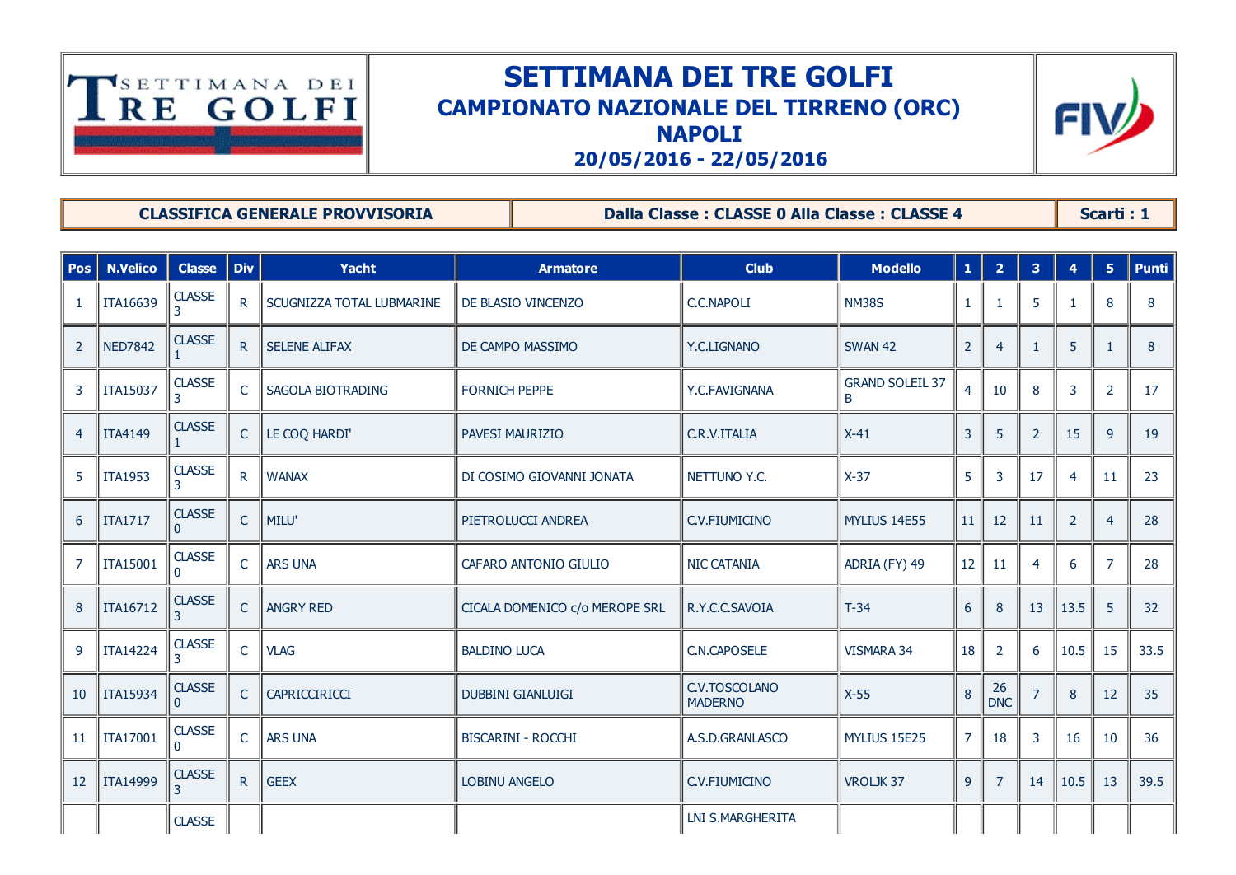

## SETTIMANA DEI TRE GOLFI CAMPIONATO NAZIONALE DEL TIRRENO (ORC) NAPOLI



20/05/2016 22/05/2016

CLASSIFICA GENERALE PROVVISORIA Dalla Classe : CLASSE 0 Alla Classe : CLASSE 4 Scarti : 1

| <b>Pos</b>      | <b>N.Velico</b> | <b>Classe</b>      | <b>Div</b>      | <b>Yacht</b>              | <b>Armatore</b>                | <b>Club</b>                     | <b>Modello</b>              | $\mathbf{1}$   | $\overline{2}$   | $\overline{\mathbf{3}}$ | $\overline{4}$ | 5 <sup>°</sup> | <b>Punti</b> |
|-----------------|-----------------|--------------------|-----------------|---------------------------|--------------------------------|---------------------------------|-----------------------------|----------------|------------------|-------------------------|----------------|----------------|--------------|
|                 | ITA16639        | <b>CLASSE</b><br>3 | $\mathsf{R}$    | SCUGNIZZA TOTAL LUBMARINE | DE BLASIO VINCENZO             | <b>C.C.NAPOLI</b>               | <b>NM38S</b>                | 1              | -1               | 5                       |                | 8              | 8            |
| $\overline{2}$  | <b>NED7842</b>  | <b>CLASSE</b>      | $R_{\parallel}$ | <b>SELENE ALIFAX</b>      | DE CAMPO MASSIMO               | Y.C.LIGNANO                     | <b>SWAN 42</b>              | $\overline{2}$ | $\overline{4}$   | -1                      | 5              | $\mathbf{1}$   | 8            |
| 3               | <b>ITA15037</b> | <b>CLASSE</b>      | $\mathsf{C}$    | SAGOLA BIOTRADING         | <b>FORNICH PEPPE</b>           | Y.C.FAVIGNANA                   | <b>GRAND SOLEIL 37</b><br>B | $\overline{4}$ | 10               | 8                       | 3              | $\overline{2}$ | 17           |
| $\overline{4}$  | <b>ITA4149</b>  | <b>CLASSE</b>      | $\mathsf{C}$    | LE COQ HARDI'             | <b>PAVESI MAURIZIO</b>         | C.R.V.ITALIA                    | $X-41$                      | 3              | 5                | $\overline{2}$          | 15             | 9              | 19           |
| 5               | <b>ITA1953</b>  | <b>CLASSE</b>      | R.              | <b>WANAX</b>              | DI COSIMO GIOVANNI JONATA      | NETTUNO Y.C.                    | $X-37$                      | 5              | 3                | 17                      |                | 11             | 23           |
| 6               | <b>ITA1717</b>  | <b>CLASSE</b>      | C               | MILU'                     | PIETROLUCCI ANDREA             | C.V.FIUMICINO                   | <b>MYLIUS 14E55</b>         | 11             | 12               | <sup>11</sup>           | 2              | $\overline{4}$ | 28           |
|                 | ITA15001        | <b>CLASSE</b>      | $\mathsf{C}$    | <b>ARS UNA</b>            | CAFARO ANTONIO GIULIO          | <b>NIC CATANIA</b>              | ADRIA (FY) 49               | 12             | 11               | $\overline{4}$          | 6              | $\overline{7}$ | 28           |
|                 | ITA16712        | <b>CLASSE</b>      | $\mathsf{C}$    | <b>ANGRY RED</b>          | CICALA DOMENICO c/o MEROPE SRL | R.Y.C.C.SAVOIA                  | $T-34$                      | 6              | 8                | 13                      | 13.5           | 5              | 32           |
| $\mathbf{q}$    | <b>ITA14224</b> | <b>CLASSE</b>      | $\mathsf{C}$    | <b>VLAG</b>               | <b>BALDINO LUCA</b>            | <b>C.N.CAPOSELE</b>             | VISMARA 34                  | 18             | 2                | 6                       | 10.5           | 15             | 33.5         |
| 10 <sup>°</sup> | ITA15934        | <b>CLASSE</b>      | $\mathsf{C}$    | CAPRICCIRICCI             | <b>DUBBINI GIANLUIGI</b>       | C.V.TOSCOLANO<br><b>MADERNO</b> | $X-55$                      | 8              | 26<br><b>DNC</b> | $\overline{7}$          | 8              | 12             | 35           |
| 11              | ITA17001        | <b>CLASSE</b>      | $\mathsf{C}$    | <b>ARS UNA</b>            | <b>BISCARINI - ROCCHI</b>      | A.S.D.GRANLASCO                 | MYLIUS 15E25                | $\overline{7}$ | 18               | 3                       | 16             | 10             | 36           |
| 12              | <b>ITA14999</b> | <b>CLASSE</b>      | $R_{\parallel}$ | <b>GEEX</b>               | <b>LOBINU ANGELO</b>           | C.V.FIUMICINO                   | VROLJK37                    | $\overline{9}$ | $\overline{7}$   | 14                      | 10.5           | 13             | 39.5         |
|                 |                 | <b>CLASSE</b>      |                 |                           |                                | <b>LNI S.MARGHERITA</b>         |                             |                |                  |                         |                |                |              |